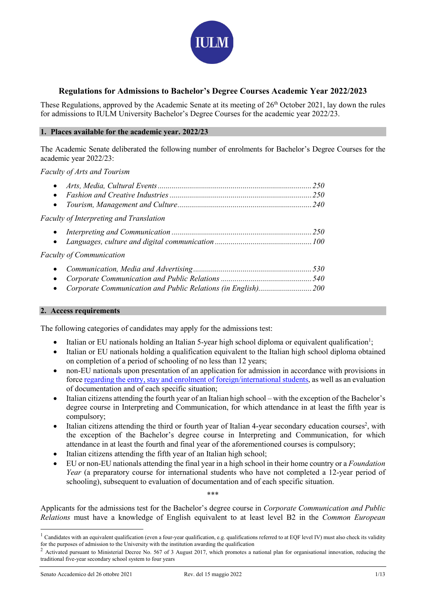

### Regulations for Admissions to Bachelor's Degree Courses Academic Year 2022/2023

These Regulations, approved by the Academic Senate at its meeting of 26<sup>th</sup> October 2021, lay down the rules for admissions to IULM University Bachelor's Degree Courses for the academic year 2022/23.

#### 1. Places available for the academic year. 2022/23

The Academic Senate deliberated the following number of enrolments for Bachelor's Degree Courses for the academic year 2022/23:

Faculty of Arts and Tourism

#### 2. Access requirements

The following categories of candidates may apply for the admissions test:

- Italian or EU nationals holding an Italian 5-year high school diploma or equivalent qualification<sup>1</sup>;
- Italian or EU nationals holding a qualification equivalent to the Italian high school diploma obtained on completion of a period of schooling of no less than 12 years;
- non-EU nationals upon presentation of an application for admission in accordance with provisions in force regarding the entry, stay and enrolment of foreign/international students, as well as an evaluation of documentation and of each specific situation;
- Italian citizens attending the fourth year of an Italian high school with the exception of the Bachelor's degree course in Interpreting and Communication, for which attendance in at least the fifth year is compulsory;
- Italian citizens attending the third or fourth year of Italian 4-year secondary education courses<sup>2</sup>, with the exception of the Bachelor's degree course in Interpreting and Communication, for which attendance in at least the fourth and final year of the aforementioned courses is compulsory;
- Italian citizens attending the fifth year of an Italian high school;
- EU or non-EU nationals attending the final year in a high school in their home country or a Foundation Year (a preparatory course for international students who have not completed a 12-year period of schooling), subsequent to evaluation of documentation and of each specific situation.

\*\*\*

Applicants for the admissions test for the Bachelor's degree course in *Corporate Communication and Public* Relations must have a knowledge of English equivalent to at least level B2 in the Common European

 $1$  Candidates with an equivalent qualification (even a four-year qualification, e.g. qualifications referred to at EQF level IV) must also check its validity for the purposes of admission to the University with the institution awarding the qualification

<sup>2</sup> Activated pursuant to Ministerial Decree No. 567 of 3 August 2017, which promotes a national plan for organisational innovation, reducing the traditional five-year secondary school system to four years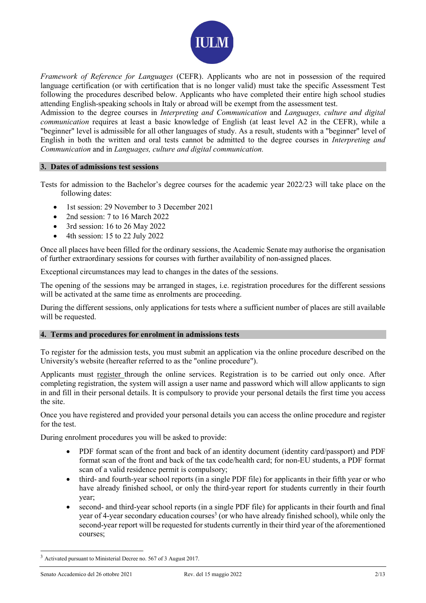

Framework of Reference for Languages (CEFR). Applicants who are not in possession of the required language certification (or with certification that is no longer valid) must take the specific Assessment Test following the procedures described below. Applicants who have completed their entire high school studies attending English-speaking schools in Italy or abroad will be exempt from the assessment test.

Admission to the degree courses in Interpreting and Communication and Languages, culture and digital communication requires at least a basic knowledge of English (at least level A2 in the CEFR), while a "beginner" level is admissible for all other languages of study. As a result, students with a "beginner" level of English in both the written and oral tests cannot be admitted to the degree courses in Interpreting and Communication and in Languages, culture and digital communication.

#### 3. Dates of admissions test sessions

Tests for admission to the Bachelor's degree courses for the academic year 2022/23 will take place on the following dates:

- 1st session: 29 November to 3 December 2021
- 2nd session: 7 to 16 March 2022
- 3rd session: 16 to 26 May 2022
- 4th session: 15 to 22 July 2022

Once all places have been filled for the ordinary sessions, the Academic Senate may authorise the organisation of further extraordinary sessions for courses with further availability of non-assigned places.

Exceptional circumstances may lead to changes in the dates of the sessions.

The opening of the sessions may be arranged in stages, i.e. registration procedures for the different sessions will be activated at the same time as enrolments are proceeding.

During the different sessions, only applications for tests where a sufficient number of places are still available will be requested.

#### 4. Terms and procedures for enrolment in admissions tests

To register for the admission tests, you must submit an application via the online procedure described on the University's website (hereafter referred to as the "online procedure").

Applicants must register through the online services. Registration is to be carried out only once. After completing registration, the system will assign a user name and password which will allow applicants to sign in and fill in their personal details. It is compulsory to provide your personal details the first time you access the site.

Once you have registered and provided your personal details you can access the online procedure and register for the test.

During enrolment procedures you will be asked to provide:

- PDF format scan of the front and back of an identity document (identity card/passport) and PDF format scan of the front and back of the tax code/health card; for non-EU students, a PDF format scan of a valid residence permit is compulsory;
- third- and fourth-year school reports (in a single PDF file) for applicants in their fifth year or who have already finished school, or only the third-year report for students currently in their fourth year;
- second- and third-year school reports (in a single PDF file) for applicants in their fourth and final year of 4-year secondary education courses<sup>3</sup> (or who have already finished school), while only the second-year report will be requested for students currently in their third year of the aforementioned courses;

<sup>3</sup> Activated pursuant to Ministerial Decree no. 567 of 3 August 2017.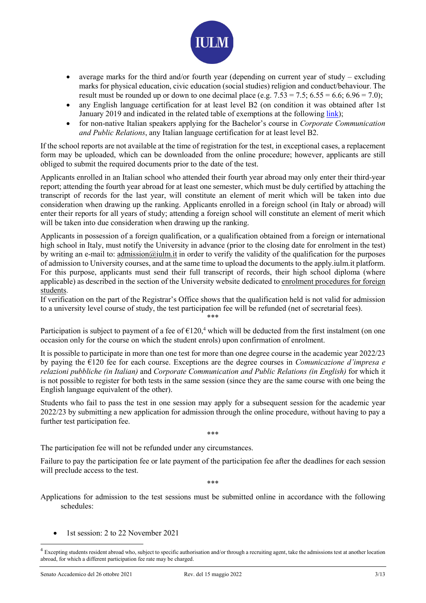

- average marks for the third and/or fourth year (depending on current year of study excluding marks for physical education, civic education (social studies) religion and conduct/behaviour. The result must be rounded up or down to one decimal place (e.g.  $7.53 = 7.5$ ;  $6.55 = 6.6$ ;  $6.96 = 7.0$ );
- any English language certification for at least level B2 (on condition it was obtained after 1st January 2019 and indicated in the related table of exemptions at the following link);
- for non-native Italian speakers applying for the Bachelor's course in Corporate Communication and Public Relations, any Italian language certification for at least level B2.

If the school reports are not available at the time of registration for the test, in exceptional cases, a replacement form may be uploaded, which can be downloaded from the online procedure; however, applicants are still obliged to submit the required documents prior to the date of the test.

Applicants enrolled in an Italian school who attended their fourth year abroad may only enter their third-year report; attending the fourth year abroad for at least one semester, which must be duly certified by attaching the transcript of records for the last year, will constitute an element of merit which will be taken into due consideration when drawing up the ranking. Applicants enrolled in a foreign school (in Italy or abroad) will enter their reports for all years of study; attending a foreign school will constitute an element of merit which will be taken into due consideration when drawing up the ranking.

Applicants in possession of a foreign qualification, or a qualification obtained from a foreign or international high school in Italy, must notify the University in advance (prior to the closing date for enrolment in the test) by writing an e-mail to: admission@iulm.it in order to verify the validity of the qualification for the purposes of admission to University courses, and at the same time to upload the documents to the apply.iulm.it platform. For this purpose, applicants must send their full transcript of records, their high school diploma (where applicable) as described in the section of the University website dedicated to enrolment procedures for foreign students.

If verification on the part of the Registrar's Office shows that the qualification held is not valid for admission to a university level course of study, the test participation fee will be refunded (net of secretarial fees). \*\*\*

Participation is subject to payment of a fee of  $\epsilon$ 120,<sup>4</sup> which will be deducted from the first instalment (on one occasion only for the course on which the student enrols) upon confirmation of enrolment.

It is possible to participate in more than one test for more than one degree course in the academic year 2022/23 by paying the  $E120$  fee for each course. Exceptions are the degree courses in *Comunicazione d'impresa e* relazioni pubbliche (in Italian) and Corporate Communication and Public Relations (in English) for which it is not possible to register for both tests in the same session (since they are the same course with one being the English language equivalent of the other).

Students who fail to pass the test in one session may apply for a subsequent session for the academic year 2022/23 by submitting a new application for admission through the online procedure, without having to pay a further test participation fee.

\*\*\*

The participation fee will not be refunded under any circumstances.

Failure to pay the participation fee or late payment of the participation fee after the deadlines for each session will preclude access to the test.

\*\*\*

Applications for admission to the test sessions must be submitted online in accordance with the following schedules:

1st session: 2 to 22 November 2021

<sup>&</sup>lt;sup>4</sup> Excepting students resident abroad who, subject to specific authorisation and/or through a recruiting agent, take the admissions test at another location abroad, for which a different participation fee rate may be charged.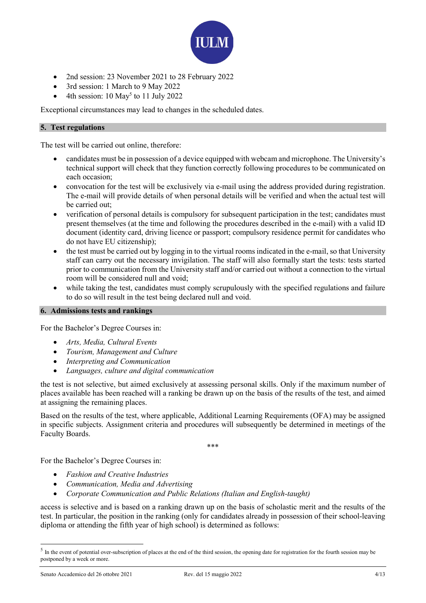

- 2nd session: 23 November 2021 to 28 February 2022
- 3rd session: 1 March to 9 May 2022
- $\bullet$  4th session: 10 May<sup>5</sup> to 11 July 2022

Exceptional circumstances may lead to changes in the scheduled dates.

#### 5. Test regulations

The test will be carried out online, therefore:

- candidates must be in possession of a device equipped with webcam and microphone. The University's technical support will check that they function correctly following procedures to be communicated on each occasion;
- convocation for the test will be exclusively via e-mail using the address provided during registration. The e-mail will provide details of when personal details will be verified and when the actual test will be carried out;
- verification of personal details is compulsory for subsequent participation in the test; candidates must present themselves (at the time and following the procedures described in the e-mail) with a valid ID document (identity card, driving licence or passport; compulsory residence permit for candidates who do not have EU citizenship);
- the test must be carried out by logging in to the virtual rooms indicated in the e-mail, so that University staff can carry out the necessary invigilation. The staff will also formally start the tests: tests started prior to communication from the University staff and/or carried out without a connection to the virtual room will be considered null and void;
- while taking the test, candidates must comply scrupulously with the specified regulations and failure to do so will result in the test being declared null and void.

#### 6. Admissions tests and rankings

For the Bachelor's Degree Courses in:

- Arts, Media, Cultural Events
- Tourism, Management and Culture
- Interpreting and Communication
- Languages, culture and digital communication

the test is not selective, but aimed exclusively at assessing personal skills. Only if the maximum number of places available has been reached will a ranking be drawn up on the basis of the results of the test, and aimed at assigning the remaining places.

Based on the results of the test, where applicable, Additional Learning Requirements (OFA) may be assigned in specific subjects. Assignment criteria and procedures will subsequently be determined in meetings of the Faculty Boards.

\*\*\*

For the Bachelor's Degree Courses in:

- Fashion and Creative Industries
- Communication, Media and Advertising
- Corporate Communication and Public Relations (Italian and English-taught)

access is selective and is based on a ranking drawn up on the basis of scholastic merit and the results of the test. In particular, the position in the ranking (only for candidates already in possession of their school-leaving diploma or attending the fifth year of high school) is determined as follows:

 $<sup>5</sup>$  In the event of potential over-subscription of places at the end of the third session, the opening date for registration for the fourth session may be</sup> postponed by a week or more.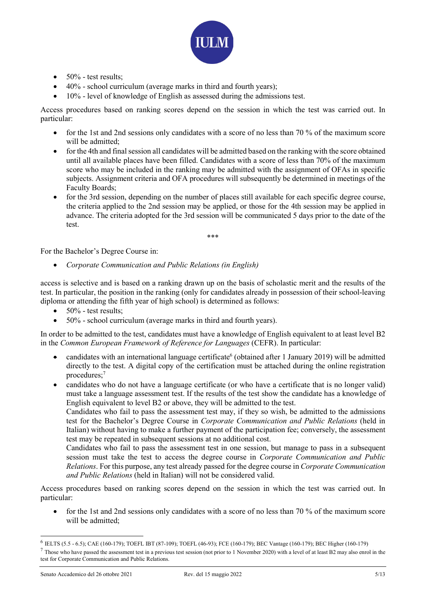

- $\bullet$  50% test results:
- 40% school curriculum (average marks in third and fourth years);
- 10% level of knowledge of English as assessed during the admissions test.

Access procedures based on ranking scores depend on the session in which the test was carried out. In particular:

- $\bullet$  for the 1st and 2nd sessions only candidates with a score of no less than 70 % of the maximum score will be admitted:
- for the 4th and final session all candidates will be admitted based on the ranking with the score obtained until all available places have been filled. Candidates with a score of less than 70% of the maximum score who may be included in the ranking may be admitted with the assignment of OFAs in specific subjects. Assignment criteria and OFA procedures will subsequently be determined in meetings of the Faculty Boards;
- for the 3rd session, depending on the number of places still available for each specific degree course, the criteria applied to the 2nd session may be applied, or those for the 4th session may be applied in advance. The criteria adopted for the 3rd session will be communicated 5 days prior to the date of the test.

\*\*\*

For the Bachelor's Degree Course in:

Corporate Communication and Public Relations (in English)

access is selective and is based on a ranking drawn up on the basis of scholastic merit and the results of the test. In particular, the position in the ranking (only for candidates already in possession of their school-leaving diploma or attending the fifth year of high school) is determined as follows:

- $\bullet$  50% test results:
- 50% school curriculum (average marks in third and fourth years).

In order to be admitted to the test, candidates must have a knowledge of English equivalent to at least level B2 in the Common European Framework of Reference for Languages (CEFR). In particular:

- candidates with an international language certificate<sup>6</sup> (obtained after 1 January 2019) will be admitted directly to the test. A digital copy of the certification must be attached during the online registration procedures;<sup>7</sup>
- candidates who do not have a language certificate (or who have a certificate that is no longer valid) must take a language assessment test. If the results of the test show the candidate has a knowledge of English equivalent to level B2 or above, they will be admitted to the test.

Candidates who fail to pass the assessment test may, if they so wish, be admitted to the admissions test for the Bachelor's Degree Course in Corporate Communication and Public Relations (held in Italian) without having to make a further payment of the participation fee; conversely, the assessment test may be repeated in subsequent sessions at no additional cost.

Candidates who fail to pass the assessment test in one session, but manage to pass in a subsequent session must take the test to access the degree course in Corporate Communication and Public Relations. For this purpose, any test already passed for the degree course in Corporate Communication and Public Relations (held in Italian) will not be considered valid.

Access procedures based on ranking scores depend on the session in which the test was carried out. In particular:

• for the 1st and 2nd sessions only candidates with a score of no less than 70 % of the maximum score will be admitted:

<sup>6</sup> IELTS (5.5 - 6.5); CAE (160-179); TOEFL IBT (87-109); TOEFL (46-93); FCE (160-179); BEC Vantage (160-179); BEC Higher (160-179)

 $^7$  Those who have passed the assessment test in a previous test session (not prior to 1 November 2020) with a level of at least B2 may also enrol in the test for Corporate Communication and Public Relations.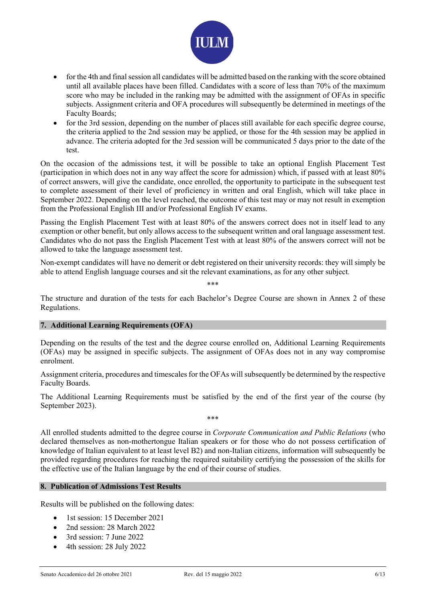

- for the 4th and final session all candidates will be admitted based on the ranking with the score obtained until all available places have been filled. Candidates with a score of less than 70% of the maximum score who may be included in the ranking may be admitted with the assignment of OFAs in specific subjects. Assignment criteria and OFA procedures will subsequently be determined in meetings of the Faculty Boards;
- for the 3rd session, depending on the number of places still available for each specific degree course, the criteria applied to the 2nd session may be applied, or those for the 4th session may be applied in advance. The criteria adopted for the 3rd session will be communicated 5 days prior to the date of the test.

On the occasion of the admissions test, it will be possible to take an optional English Placement Test (participation in which does not in any way affect the score for admission) which, if passed with at least 80% of correct answers, will give the candidate, once enrolled, the opportunity to participate in the subsequent test to complete assessment of their level of proficiency in written and oral English, which will take place in September 2022. Depending on the level reached, the outcome of this test may or may not result in exemption from the Professional English III and/or Professional English IV exams.

Passing the English Placement Test with at least 80% of the answers correct does not in itself lead to any exemption or other benefit, but only allows access to the subsequent written and oral language assessment test. Candidates who do not pass the English Placement Test with at least 80% of the answers correct will not be allowed to take the language assessment test.

Non-exempt candidates will have no demerit or debt registered on their university records: they will simply be able to attend English language courses and sit the relevant examinations, as for any other subject.

\*\*\*

The structure and duration of the tests for each Bachelor's Degree Course are shown in Annex 2 of these Regulations.

#### 7. Additional Learning Requirements (OFA)

Depending on the results of the test and the degree course enrolled on, Additional Learning Requirements (OFAs) may be assigned in specific subjects. The assignment of OFAs does not in any way compromise enrolment.

Assignment criteria, procedures and timescales for the OFAs will subsequently be determined by the respective Faculty Boards.

The Additional Learning Requirements must be satisfied by the end of the first year of the course (by September 2023).

\*\*\*

All enrolled students admitted to the degree course in Corporate Communication and Public Relations (who declared themselves as non-mothertongue Italian speakers or for those who do not possess certification of knowledge of Italian equivalent to at least level B2) and non-Italian citizens, information will subsequently be provided regarding procedures for reaching the required suitability certifying the possession of the skills for the effective use of the Italian language by the end of their course of studies.

#### 8. Publication of Admissions Test Results

Results will be published on the following dates:

- 1st session: 15 December 2021
- 2nd session: 28 March 2022
- 3rd session: 7 June 2022
- 4th session: 28 July 2022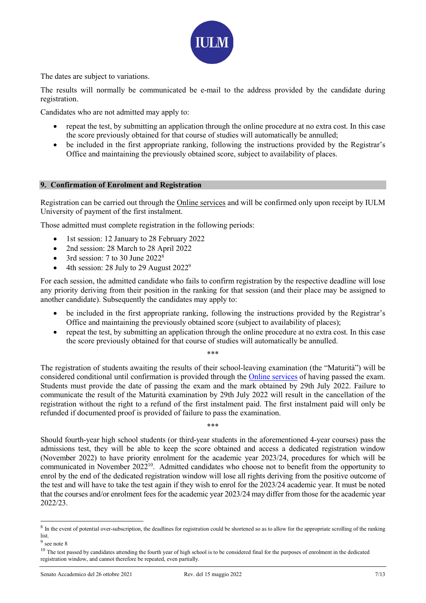

The dates are subject to variations.

The results will normally be communicated be e-mail to the address provided by the candidate during registration.

Candidates who are not admitted may apply to:

- repeat the test, by submitting an application through the online procedure at no extra cost. In this case the score previously obtained for that course of studies will automatically be annulled;
- be included in the first appropriate ranking, following the instructions provided by the Registrar's Office and maintaining the previously obtained score, subject to availability of places.

#### 9. Confirmation of Enrolment and Registration

Registration can be carried out through the Online services and will be confirmed only upon receipt by IULM University of payment of the first instalment.

Those admitted must complete registration in the following periods:

- 1st session: 12 January to 28 February 2022
- 2nd session: 28 March to 28 April 2022
- 3rd session: 7 to 30 June  $2022^8$
- $\bullet$  4th session: 28 July to 29 August 2022<sup>9</sup>

For each session, the admitted candidate who fails to confirm registration by the respective deadline will lose any priority deriving from their position in the ranking for that session (and their place may be assigned to another candidate). Subsequently the candidates may apply to:

- be included in the first appropriate ranking, following the instructions provided by the Registrar's Office and maintaining the previously obtained score (subject to availability of places);
- repeat the test, by submitting an application through the online procedure at no extra cost. In this case the score previously obtained for that course of studies will automatically be annulled.

\*\*\*

The registration of students awaiting the results of their school-leaving examination (the "Maturità") will be considered conditional until confirmation is provided through the Online services of having passed the exam. Students must provide the date of passing the exam and the mark obtained by 29th July 2022. Failure to communicate the result of the Maturità examination by 29th July 2022 will result in the cancellation of the registration without the right to a refund of the first instalment paid. The first instalment paid will only be refunded if documented proof is provided of failure to pass the examination.

\*\*\*

Should fourth-year high school students (or third-year students in the aforementioned 4-year courses) pass the admissions test, they will be able to keep the score obtained and access a dedicated registration window (November 2022) to have priority enrolment for the academic year 2023/24, procedures for which will be communicated in November 2022<sup>10</sup>. Admitted candidates who choose not to benefit from the opportunity to enrol by the end of the dedicated registration window will lose all rights deriving from the positive outcome of the test and will have to take the test again if they wish to enrol for the 2023/24 academic year. It must be noted that the courses and/or enrolment fees for the academic year 2023/24 may differ from those for the academic year 2022/23.

 $8\,$  In the event of potential over-subscription, the deadlines for registration could be shortened so as to allow for the appropriate scrolling of the ranking list.

<sup>9</sup> see note 8

<sup>&</sup>lt;sup>10</sup> The test passed by candidates attending the fourth year of high school is to be considered final for the purposes of enrolment in the dedicated registration window, and cannot therefore be repeated, even partially.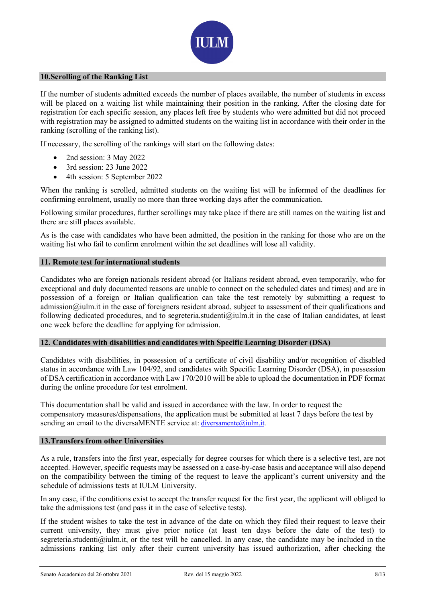

#### 10.Scrolling of the Ranking List

If the number of students admitted exceeds the number of places available, the number of students in excess will be placed on a waiting list while maintaining their position in the ranking. After the closing date for registration for each specific session, any places left free by students who were admitted but did not proceed with registration may be assigned to admitted students on the waiting list in accordance with their order in the ranking (scrolling of the ranking list).

If necessary, the scrolling of the rankings will start on the following dates:

- 2nd session: 3 May 2022
- 3rd session: 23 June 2022
- 4th session: 5 September 2022

When the ranking is scrolled, admitted students on the waiting list will be informed of the deadlines for confirming enrolment, usually no more than three working days after the communication.

Following similar procedures, further scrollings may take place if there are still names on the waiting list and there are still places available.

As is the case with candidates who have been admitted, the position in the ranking for those who are on the waiting list who fail to confirm enrolment within the set deadlines will lose all validity.

#### 11. Remote test for international students

Candidates who are foreign nationals resident abroad (or Italians resident abroad, even temporarily, who for exceptional and duly documented reasons are unable to connect on the scheduled dates and times) and are in possession of a foreign or Italian qualification can take the test remotely by submitting a request to admission@iulm.it in the case of foreigners resident abroad, subject to assessment of their qualifications and following dedicated procedures, and to segreteria.studenti@iulm.it in the case of Italian candidates, at least one week before the deadline for applying for admission.

#### 12. Candidates with disabilities and candidates with Specific Learning Disorder (DSA)

Candidates with disabilities, in possession of a certificate of civil disability and/or recognition of disabled status in accordance with Law 104/92, and candidates with Specific Learning Disorder (DSA), in possession of DSA certification in accordance with Law 170/2010 will be able to upload the documentation in PDF format during the online procedure for test enrolment.

This documentation shall be valid and issued in accordance with the law. In order to request the compensatory measures/dispensations, the application must be submitted at least 7 days before the test by sending an email to the diversaMENTE service at: diversamente@iulm.it.

#### 13.Transfers from other Universities

As a rule, transfers into the first year, especially for degree courses for which there is a selective test, are not accepted. However, specific requests may be assessed on a case-by-case basis and acceptance will also depend on the compatibility between the timing of the request to leave the applicant's current university and the schedule of admissions tests at IULM University.

In any case, if the conditions exist to accept the transfer request for the first year, the applicant will obliged to take the admissions test (and pass it in the case of selective tests).

If the student wishes to take the test in advance of the date on which they filed their request to leave their current university, they must give prior notice (at least ten days before the date of the test) to segreteria.studenti@iulm.it, or the test will be cancelled. In any case, the candidate may be included in the admissions ranking list only after their current university has issued authorization, after checking the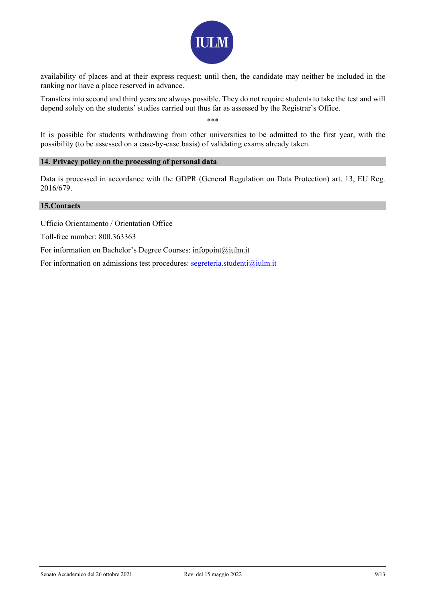

availability of places and at their express request; until then, the candidate may neither be included in the ranking nor have a place reserved in advance.

Transfers into second and third years are always possible. They do not require students to take the test and will depend solely on the students' studies carried out thus far as assessed by the Registrar's Office.

\*\*\*

It is possible for students withdrawing from other universities to be admitted to the first year, with the possibility (to be assessed on a case-by-case basis) of validating exams already taken.

#### 14. Privacy policy on the processing of personal data

Data is processed in accordance with the GDPR (General Regulation on Data Protection) art. 13, EU Reg. 2016/679.

#### 15.Contacts

Ufficio Orientamento / Orientation Office

Toll-free number: 800.363363

For information on Bachelor's Degree Courses: infopoint@iulm.it

For information on admissions test procedures: segreteria.studenti@iulm.it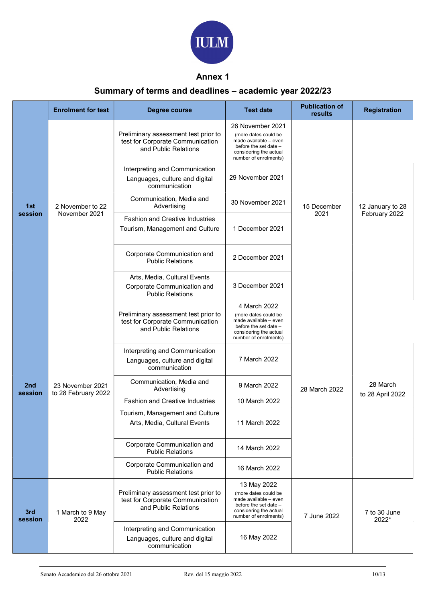

## Annex 1

# Summary of terms and deadlines – academic year 2022/23

|                | <b>Enrolment for test</b>               | <b>Degree course</b>                                                                             | <b>Test date</b>                                                                                                                              | <b>Publication of</b><br><b>results</b> | <b>Registration</b>               |
|----------------|-----------------------------------------|--------------------------------------------------------------------------------------------------|-----------------------------------------------------------------------------------------------------------------------------------------------|-----------------------------------------|-----------------------------------|
| 1st<br>session | 2 November to 22<br>November 2021       | Preliminary assessment test prior to<br>test for Corporate Communication<br>and Public Relations | 26 November 2021<br>(more dates could be<br>made available - even<br>before the set date -<br>considering the actual<br>number of enrolments) | 15 December<br>2021                     | 12 January to 28<br>February 2022 |
|                |                                         | Interpreting and Communication<br>Languages, culture and digital<br>communication                | 29 November 2021                                                                                                                              |                                         |                                   |
|                |                                         | Communication, Media and<br>Advertising                                                          | 30 November 2021                                                                                                                              |                                         |                                   |
|                |                                         | <b>Fashion and Creative Industries</b><br>Tourism, Management and Culture                        | 1 December 2021                                                                                                                               |                                         |                                   |
|                |                                         | Corporate Communication and<br><b>Public Relations</b>                                           | 2 December 2021                                                                                                                               |                                         |                                   |
|                |                                         | Arts, Media, Cultural Events<br>Corporate Communication and<br><b>Public Relations</b>           | 3 December 2021                                                                                                                               |                                         |                                   |
| 2nd<br>session | 23 November 2021<br>to 28 February 2022 | Preliminary assessment test prior to<br>test for Corporate Communication<br>and Public Relations | 4 March 2022<br>(more dates could be<br>made available - even<br>before the set date -<br>considering the actual<br>number of enrolments)     | 28 March 2022                           | 28 March<br>to 28 April 2022      |
|                |                                         | Interpreting and Communication<br>Languages, culture and digital<br>communication                | 7 March 2022                                                                                                                                  |                                         |                                   |
|                |                                         | Communication, Media and<br>Advertising                                                          | 9 March 2022                                                                                                                                  |                                         |                                   |
|                |                                         | <b>Fashion and Creative Industries</b>                                                           | 10 March 2022                                                                                                                                 |                                         |                                   |
|                |                                         | Tourism, Management and Culture<br>Arts, Media, Cultural Events                                  | 11 March 2022                                                                                                                                 |                                         |                                   |
|                |                                         | Corporate Communication and<br><b>Public Relations</b>                                           | 14 March 2022                                                                                                                                 |                                         |                                   |
|                |                                         | Corporate Communication and<br><b>Public Relations</b>                                           | 16 March 2022                                                                                                                                 |                                         |                                   |
| 3rd<br>session | 1 March to 9 May<br>2022                | Preliminary assessment test prior to<br>test for Corporate Communication<br>and Public Relations | 13 May 2022<br>(more dates could be<br>made available - even<br>before the set date -<br>considering the actual<br>number of enrolments)      | 7 June 2022                             | 7 to 30 June<br>2022*             |
|                |                                         | Interpreting and Communication<br>Languages, culture and digital<br>communication                | 16 May 2022                                                                                                                                   |                                         |                                   |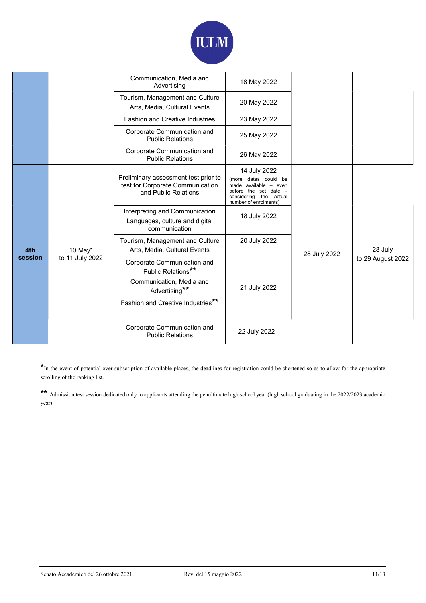

|                |                            | Communication, Media and<br>Advertising                                                          | 18 May 2022                                                                                                                               |              |                              |
|----------------|----------------------------|--------------------------------------------------------------------------------------------------|-------------------------------------------------------------------------------------------------------------------------------------------|--------------|------------------------------|
|                |                            | Tourism, Management and Culture<br>Arts, Media, Cultural Events                                  | 20 May 2022                                                                                                                               |              |                              |
|                |                            | <b>Fashion and Creative Industries</b>                                                           | 23 May 2022                                                                                                                               |              |                              |
|                |                            | Corporate Communication and<br><b>Public Relations</b>                                           | 25 May 2022                                                                                                                               |              |                              |
|                |                            | Corporate Communication and<br><b>Public Relations</b>                                           | 26 May 2022                                                                                                                               |              |                              |
| 4th<br>session | 10 May*<br>to 11 July 2022 | Preliminary assessment test prior to<br>test for Corporate Communication<br>and Public Relations | 14 July 2022<br>(more dates could be<br>made available - even<br>before the set date -<br>considering the actual<br>number of enrolments) | 28 July 2022 | 28 July<br>to 29 August 2022 |
|                |                            | Interpreting and Communication<br>Languages, culture and digital<br>communication                | 18 July 2022                                                                                                                              |              |                              |
|                |                            | Tourism, Management and Culture<br>Arts, Media, Cultural Events                                  | 20 July 2022                                                                                                                              |              |                              |
|                |                            | Corporate Communication and<br>Public Relations**<br>Communication, Media and<br>Advertising**   | 21 July 2022                                                                                                                              |              |                              |
|                |                            | Fashion and Creative Industries**                                                                |                                                                                                                                           |              |                              |
|                |                            | Corporate Communication and<br><b>Public Relations</b>                                           | 22 July 2022                                                                                                                              |              |                              |

\*In the event of potential over-subscription of available places, the deadlines for registration could be shortened so as to allow for the appropriate scrolling of the ranking list.

\*\* Admission test session dedicated only to applicants attending the penultimate high school year (high school graduating in the 2022/2023 academic year)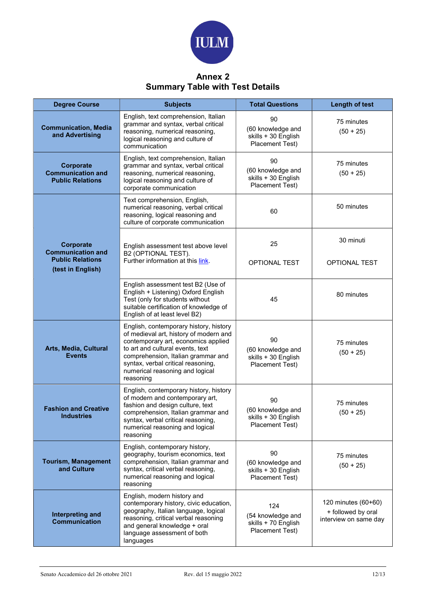

## Annex 2 Summary Table with Test Details

| <b>Degree Course</b>                                             | <b>Subjects</b>                                                                                                                                                                                                                                                                         | <b>Total Questions</b>                                             | <b>Length of test</b>                                              |
|------------------------------------------------------------------|-----------------------------------------------------------------------------------------------------------------------------------------------------------------------------------------------------------------------------------------------------------------------------------------|--------------------------------------------------------------------|--------------------------------------------------------------------|
| <b>Communication, Media</b><br>and Advertising                   | English, text comprehension, Italian<br>grammar and syntax, verbal critical<br>reasoning, numerical reasoning,<br>logical reasoning and culture of<br>communication                                                                                                                     | 90<br>(60 knowledge and<br>skills + 30 English<br>Placement Test)  | 75 minutes<br>$(50 + 25)$                                          |
| Corporate<br><b>Communication and</b><br><b>Public Relations</b> | English, text comprehension, Italian<br>grammar and syntax, verbal critical<br>reasoning, numerical reasoning,<br>logical reasoning and culture of<br>corporate communication                                                                                                           | 90<br>(60 knowledge and<br>skills + 30 English<br>Placement Test)  | 75 minutes<br>$(50 + 25)$                                          |
|                                                                  | Text comprehension, English,<br>numerical reasoning, verbal critical<br>reasoning, logical reasoning and<br>culture of corporate communication                                                                                                                                          | 60                                                                 | 50 minutes                                                         |
| Corporate<br><b>Communication and</b>                            | English assessment test above level<br>B2 (OPTIONAL TEST).                                                                                                                                                                                                                              | 25                                                                 | 30 minuti                                                          |
| <b>Public Relations</b><br>(test in English)                     | Further information at this link.                                                                                                                                                                                                                                                       | <b>OPTIONAL TEST</b>                                               | <b>OPTIONAL TEST</b>                                               |
|                                                                  | English assessment test B2 (Use of<br>English + Listening) Oxford English<br>Test (only for students without<br>suitable certification of knowledge of<br>English of at least level B2)                                                                                                 | 45                                                                 | 80 minutes                                                         |
| Arts, Media, Cultural<br><b>Events</b>                           | English, contemporary history, history<br>of medieval art, history of modern and<br>contemporary art, economics applied<br>to art and cultural events, text<br>comprehension, Italian grammar and<br>syntax, verbal critical reasoning,<br>numerical reasoning and logical<br>reasoning | 90<br>(60 knowledge and<br>skills + 30 English<br>Placement Test)  | 75 minutes<br>$(50 + 25)$                                          |
| <b>Fashion and Creative</b><br><b>Industries</b>                 | English, contemporary history, history<br>of modern and contemporary art,<br>fashion and design culture, text<br>comprehension, Italian grammar and<br>syntax, verbal critical reasoning,<br>numerical reasoning and logical<br>reasoning                                               | 90<br>(60 knowledge and<br>skills + 30 English<br>Placement Test)  | 75 minutes<br>$(50 + 25)$                                          |
| <b>Tourism, Management</b><br>and Culture                        | English, contemporary history,<br>geography, tourism economics, text<br>comprehension, Italian grammar and<br>syntax, critical verbal reasoning,<br>numerical reasoning and logical<br>reasoning                                                                                        | 90<br>(60 knowledge and<br>skills + 30 English<br>Placement Test)  | 75 minutes<br>$(50 + 25)$                                          |
| Interpreting and<br><b>Communication</b>                         | English, modern history and<br>contemporary history, civic education,<br>geography, Italian language, logical<br>reasoning, critical verbal reasoning<br>and general knowledge + oral<br>language assessment of both<br>languages                                                       | 124<br>(54 knowledge and<br>skills + 70 English<br>Placement Test) | 120 minutes (60+60)<br>+ followed by oral<br>interview on same day |